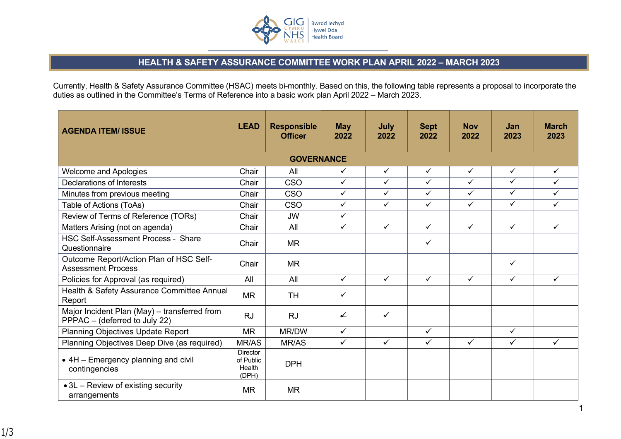

## **HEALTH & SAFETY ASSURANCE COMMITTEE WORK PLAN APRIL 2022 – MARCH 2023**

Currently, Health & Safety Assurance Committee (HSAC) meets bi-monthly. Based on this, the following table represents a proposal to incorporate the duties as outlined in the Committee's Terms of Reference into a basic work plan April 2022 – March 2023.

| <b>AGENDA ITEM/ ISSUE</b>                                                     | <b>LEAD</b>                                     | <b>Responsible</b><br><b>Officer</b> | <b>May</b><br>2022 | July<br>2022 | <b>Sept</b><br>2022 | <b>Nov</b><br>2022 | <b>Jan</b><br>2023 | <b>March</b><br>2023 |
|-------------------------------------------------------------------------------|-------------------------------------------------|--------------------------------------|--------------------|--------------|---------------------|--------------------|--------------------|----------------------|
|                                                                               |                                                 | <b>GOVERNANCE</b>                    |                    |              |                     |                    |                    |                      |
| <b>Welcome and Apologies</b>                                                  | Chair                                           | All                                  | ✓                  | $\checkmark$ | $\checkmark$        | $\checkmark$       | ✓                  | ✓                    |
| Declarations of Interests                                                     | Chair                                           | <b>CSO</b>                           | $\checkmark$       | $\checkmark$ | $\checkmark$        | $\checkmark$       | $\checkmark$       | ✓                    |
| Minutes from previous meeting                                                 | Chair                                           | <b>CSO</b>                           | $\checkmark$       | ✓            | $\checkmark$        | $\checkmark$       | $\checkmark$       | ✓                    |
| Table of Actions (ToAs)                                                       | Chair                                           | <b>CSO</b>                           | $\checkmark$       | $\checkmark$ | $\checkmark$        | $\checkmark$       | $\checkmark$       | ✓                    |
| Review of Terms of Reference (TORs)                                           | Chair                                           | <b>JW</b>                            | $\checkmark$       |              |                     |                    |                    |                      |
| Matters Arising (not on agenda)                                               | Chair                                           | All                                  | $\checkmark$       | $\checkmark$ | $\checkmark$        | $\checkmark$       | $\checkmark$       | $\checkmark$         |
| <b>HSC Self-Assessment Process - Share</b><br>Questionnaire                   | Chair                                           | <b>MR</b>                            |                    |              | ✓                   |                    |                    |                      |
| Outcome Report/Action Plan of HSC Self-<br><b>Assessment Process</b>          | Chair                                           | <b>MR</b>                            |                    |              |                     |                    | ✓                  |                      |
| Policies for Approval (as required)                                           | All                                             | All                                  | $\checkmark$       | $\checkmark$ | $\checkmark$        | ✓                  | $\checkmark$       | $\checkmark$         |
| Health & Safety Assurance Committee Annual<br>Report                          | <b>MR</b>                                       | <b>TH</b>                            | ✓                  |              |                     |                    |                    |                      |
| Major Incident Plan (May) - transferred from<br>PPPAC - (deferred to July 22) | <b>RJ</b>                                       | <b>RJ</b>                            | ✔                  | $\checkmark$ |                     |                    |                    |                      |
| <b>Planning Objectives Update Report</b>                                      | <b>MR</b>                                       | MR/DW                                | $\checkmark$       |              | $\checkmark$        |                    | $\checkmark$       |                      |
| Planning Objectives Deep Dive (as required)                                   | MR/AS                                           | MR/AS                                | $\checkmark$       | $\checkmark$ | $\checkmark$        | $\checkmark$       | $\checkmark$       | $\checkmark$         |
| • 4H - Emergency planning and civil<br>contingencies                          | <b>Director</b><br>of Public<br>Health<br>(DPH) | <b>DPH</b>                           |                    |              |                     |                    |                    |                      |
| • 3L – Review of existing security<br>arrangements                            | <b>MR</b>                                       | <b>MR</b>                            |                    |              |                     |                    |                    |                      |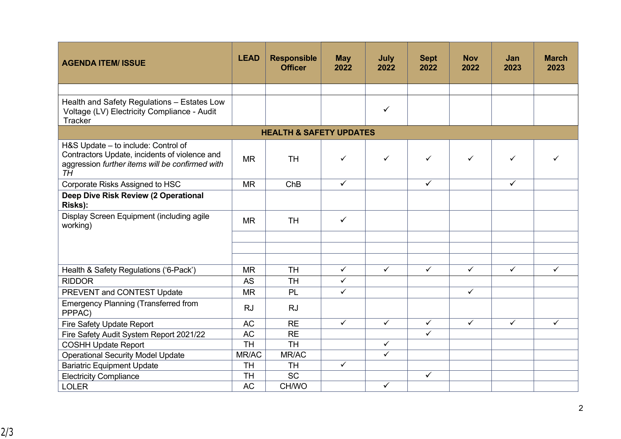| <b>AGENDA ITEM/ ISSUE</b>                                                                                                                            | <b>LEAD</b> | <b>Responsible</b><br><b>Officer</b> | <b>May</b><br>2022 | July<br>2022 | <b>Sept</b><br>2022     | <b>Nov</b><br>2022 | Jan<br>2023  | <b>March</b><br>2023 |
|------------------------------------------------------------------------------------------------------------------------------------------------------|-------------|--------------------------------------|--------------------|--------------|-------------------------|--------------------|--------------|----------------------|
|                                                                                                                                                      |             |                                      |                    |              |                         |                    |              |                      |
| Health and Safety Regulations - Estates Low<br>Voltage (LV) Electricity Compliance - Audit<br><b>Tracker</b>                                         |             |                                      |                    | $\checkmark$ |                         |                    |              |                      |
|                                                                                                                                                      |             | <b>HEALTH &amp; SAFETY UPDATES</b>   |                    |              |                         |                    |              |                      |
| H&S Update - to include: Control of<br>Contractors Update, incidents of violence and<br>aggression further items will be confirmed with<br><b>TH</b> | <b>MR</b>   | <b>TH</b>                            | $\checkmark$       | $\checkmark$ | $\checkmark$            | $\checkmark$       | $\checkmark$ | ✓                    |
| Corporate Risks Assigned to HSC                                                                                                                      | <b>MR</b>   | ChB                                  | $\checkmark$       |              | $\checkmark$            |                    | $\checkmark$ |                      |
| Deep Dive Risk Review (2 Operational<br>Risks):                                                                                                      |             |                                      |                    |              |                         |                    |              |                      |
| Display Screen Equipment (including agile<br>working)                                                                                                | <b>MR</b>   | <b>TH</b>                            | $\checkmark$       |              |                         |                    |              |                      |
|                                                                                                                                                      |             |                                      |                    |              |                         |                    |              |                      |
| Health & Safety Regulations ('6-Pack')                                                                                                               | <b>MR</b>   | <b>TH</b>                            | $\checkmark$       | $\checkmark$ | $\checkmark$            | $\checkmark$       | $\checkmark$ | $\checkmark$         |
| <b>RIDDOR</b>                                                                                                                                        | <b>AS</b>   | <b>TH</b>                            | $\checkmark$       |              |                         |                    |              |                      |
| PREVENT and CONTEST Update                                                                                                                           | <b>MR</b>   | PL                                   | $\checkmark$       |              |                         | $\checkmark$       |              |                      |
| <b>Emergency Planning (Transferred from</b><br>PPPAC)                                                                                                | <b>RJ</b>   | <b>RJ</b>                            |                    |              |                         |                    |              |                      |
| Fire Safety Update Report                                                                                                                            | <b>AC</b>   | <b>RE</b>                            | $\checkmark$       | $\checkmark$ | $\checkmark$            | $\checkmark$       | $\checkmark$ | $\checkmark$         |
| Fire Safety Audit System Report 2021/22                                                                                                              | <b>AC</b>   | <b>RE</b>                            |                    |              | $\overline{\checkmark}$ |                    |              |                      |
| <b>COSHH Update Report</b>                                                                                                                           | <b>TH</b>   | <b>TH</b>                            |                    | $\checkmark$ |                         |                    |              |                      |
| <b>Operational Security Model Update</b>                                                                                                             | MR/AC       | MR/AC                                |                    | $\checkmark$ |                         |                    |              |                      |
| <b>Bariatric Equipment Update</b>                                                                                                                    | TH          | <b>TH</b>                            | $\checkmark$       |              |                         |                    |              |                      |
| <b>Electricity Compliance</b>                                                                                                                        | <b>TH</b>   | <b>SC</b>                            |                    |              | $\checkmark$            |                    |              |                      |
| <b>LOLER</b>                                                                                                                                         | <b>AC</b>   | CH/WO                                |                    | $\checkmark$ |                         |                    |              |                      |